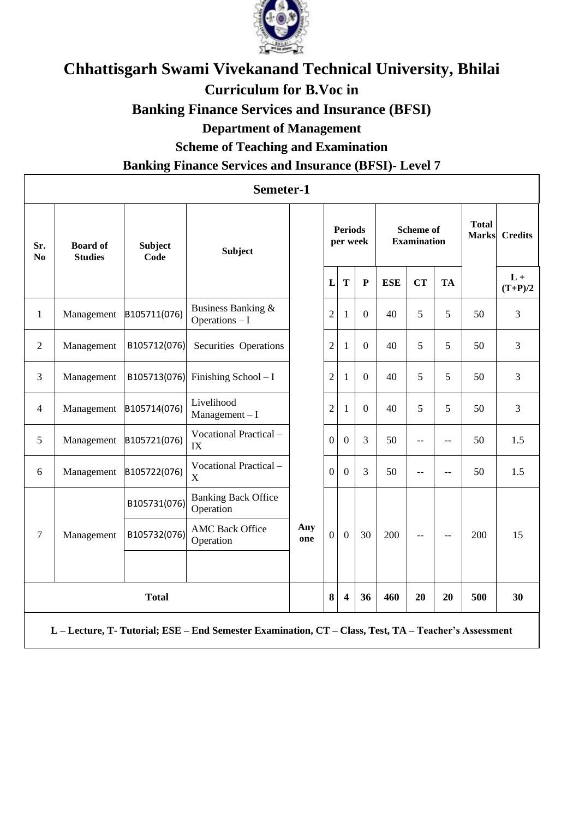

## **Chhattisgarh Swami Vivekanand Technical University, Bhilai Curriculum for B.Voc in Banking Finance Services and Insurance (BFSI) Department of Management**

**Scheme of Teaching and Examination**

## **Banking Finance Services and Insurance (BFSI)- Level 7**

| Semeter-1             |                                                                                                    |                        |                                         |            |                |                            |                |                                        |           |           |                              |                    |
|-----------------------|----------------------------------------------------------------------------------------------------|------------------------|-----------------------------------------|------------|----------------|----------------------------|----------------|----------------------------------------|-----------|-----------|------------------------------|--------------------|
| Sr.<br>N <sub>0</sub> | <b>Board of</b><br><b>Studies</b>                                                                  | <b>Subject</b><br>Code | <b>Subject</b>                          |            |                | <b>Periods</b><br>per week |                | <b>Scheme of</b><br><b>Examination</b> |           |           | <b>Total</b><br><b>Marks</b> | <b>Credits</b>     |
|                       |                                                                                                    |                        |                                         |            | L              | T                          | $\mathbf{P}$   | <b>ESE</b>                             | <b>CT</b> | <b>TA</b> |                              | $L +$<br>$(T+P)/2$ |
| $\mathbf{1}$          | Management                                                                                         | B105711(076)           | Business Banking &<br>Operations - I    |            | $\overline{2}$ | 1                          | $\overline{0}$ | 40                                     | 5         | 5         | 50                           | 3                  |
| $\overline{2}$        | Management                                                                                         | B105712(076)           | Securities Operations                   |            | $\overline{2}$ | 1                          | $\overline{0}$ | 40                                     | 5         | 5         | 50                           | 3                  |
| 3                     | Management                                                                                         | B105713(076)           | Finishing School - I                    |            | $\overline{2}$ | 1                          | $\overline{0}$ | 40                                     | 5         | 5         | 50                           | 3                  |
| $\overline{4}$        | Management                                                                                         | B105714(076)           | Livelihood<br>$M$ anagement - I         |            | $\overline{2}$ | 1                          | $\overline{0}$ | 40                                     | 5         | 5         | 50                           | 3                  |
| 5                     | Management                                                                                         | B105721(076)           | Vocational Practical-<br>IX             |            | $\Omega$       | $\overline{0}$             | $\overline{3}$ | 50                                     | $-$       | $-$       | 50                           | 1.5                |
| 6                     | Management                                                                                         | B105722(076)           | Vocational Practical-<br>X              |            | $\mathbf{0}$   | $\boldsymbol{0}$           | $\overline{3}$ | 50                                     | $-$       | $-$       | 50                           | 1.5                |
|                       |                                                                                                    | B105731(076)           | <b>Banking Back Office</b><br>Operation | Any<br>one |                |                            |                |                                        |           |           |                              |                    |
| 7                     | Management                                                                                         | B105732(076)           | <b>AMC Back Office</b><br>Operation     |            | $\overline{0}$ | $\overline{0}$             | 30             | 200                                    | $-$       | --        | 200                          | 15                 |
|                       | <b>Total</b>                                                                                       |                        |                                         |            | 8              | $\overline{\mathbf{4}}$    | 36             | 460                                    | 20        | 20        | 500                          | 30                 |
|                       | L-Lecture, T-Tutorial; ESE - End Semester Examination, CT - Class, Test, TA - Teacher's Assessment |                        |                                         |            |                |                            |                |                                        |           |           |                              |                    |